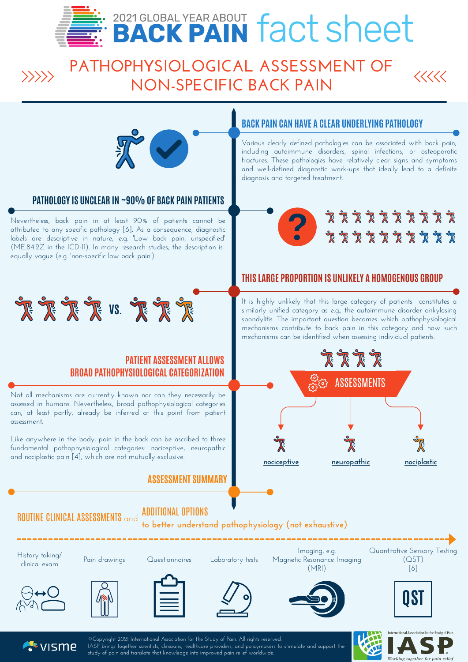# 2021 GLOBAL YEAR ABOUT fact sheet

# **PATHOPHYSIOLOGICAL ASSESSMENT OF NON-SPECIFIC BACK PAIN**





# **PATHOLOGY IS UNCLEAR IN ~90% OF BACK PAIN PATIENTS**

Nevertheless, back pain in at least 90% of patients cannot be attributed to any specific pathology [6]. As a consequence, diagnostic labels are descriptive in nature, e.g. 'Low back pain, unspecified' (ME.84.2Z in the ICD-11). In many research studies, the description is equally vague (e.g. 'non-specific low back pain').



### **PATIENT ASSESSMENT ALLOWS BROAD PATHOPHYSIOLOGICAL CATEGORIZATION**

Not all mechanisms are currently known nor can they necessarily be assessed in humans. Nevertheless, broad pathophysiological categories can, at least partly, already be inferred at this point from patient assessment.

Like anywhere in the body, pain in the back can be ascribed to three fundamental pathophysiological categories: nociceptive, neuropathic and nociplastic pain [4], which are not mutually exclusive.

**ASSESSMENT SUMMARY**



Various clearly defined pathologies can be associated with back pain, including autoimmune disorders, spinal infections, or osteoporotic fractures. These pathologies have relatively clear signs and symptoms and well-defined diagnostic work-ups that ideally lead to a definite diagnosis and targeted treatment.

# **\*\*\*\*\*\*\*\*\*\*** \*\*\*\*\*\*\*\*\*\*

### **THIS LARGE PROPORTION IS UNLIKELY A HOMOGENOUS GROUP**

It is highly unlikely that this large category of patients constitutes a similarly unified category as e.g., the autoimmune disorder ankylosing spondylitis. The important question becomes which pathophysiological mechanisms contribute to back pain in this category and how such mechanisms can be identified when assessing individual patients.



### ROUTINE CLINICAL ASSESSMENTS and ADDITIONAL OPTIONS

**to better understand pathophysiology (not exhaustive)**

History taking/ clinical exam

 $\{\}\}\$ 

Pain drawings

Questionnaires Laboratory tests





Imaging, e.g. Magnetic Resonance Imaging (MRI)







©Copyright 2021 International Association for the Study of Pain. All rights reserved. IASP brings together scientists, clinicians, healthcare providers, and policymakers to stimulate and support the study of pain and translate that knowledge into improved pain relief worldwide.

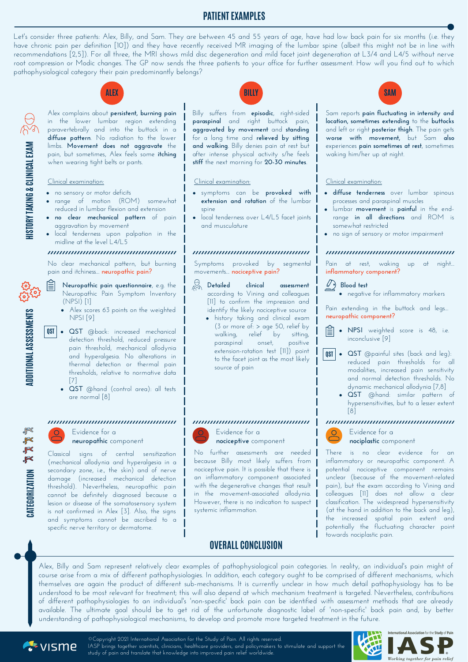### **PATIENT EXAMPLES**

Let's consider three patients: Alex, Billy, and Sam. They are between 45 and 55 years of age, have had low back pain for six months (i.e. they have chronic pain per definition [10]) and they have recently received MR imaging of the lumbar spine (albeit this might not be in line with recommendations [2,5]). For all three, the MRI shows mild disc degeneration and mild facet joint degeneration at L3/4 and L4/5 without nerve root compression or Modic changes. The GP now sends the three patients to your office for further assessment. How will you find out to which pathophysiological category their pain predominantly belongs?



Alex complains about **persistent, burning pain** in the lower lumbar region extending paravertebrally and into the buttock in a **diffuse pattern**. No radiation to the lower limbs. **Movement does not aggravate** the pain, but sometimes, Alex feels some **itching** when wearing tight belts or pants.

- no sensory or motor deficits
- range of motion (ROM) somewhat reduced in lumbar flexion and extension
- **no clear mechanical pattern** of pain aggravation by movement
- local tenderness upon palpation in the midline at the level L4/L5

No clear mechanical pattern, but burning pain and itchiness... **neuropathic pain?**

- **Neuropathic pain questionnaire**, e.g. the Neuropathic Pain Symptom Inventory (NPSI) [1]
	- Alex scores 63 points on the weighted NPSI [9]
- **QST QST**  @back: increased mechanical detection threshold, reduced pressure pain threshold, mechanical allodynia and hyperalgesia. No alterations in thermal detection or thermal pain thresholds, relative to normative data  $[7]$ 
	- **QST** @hand (control area): all tests are normal [8]

Evidence for a **neuropathic** component

Classical signs of central sensitization (mechanical allodynia and hyperalgesia in a secondary zone, i.e., the skin) and of nerve damage (increased mechanical detection threshold). Nevertheless, neuropathic pain cannot be definitely diagnosed because a lesion or disease of the somatosensory system is not confirmed in Alex [3]. Also, the signs and symptoms cannot be ascribed to a specific nerve territory or dermatome.

Billy suffers from **episodic**, right-sided **paraspinal** and right buttock pain, **aggravated by movement** and **standing** for a long time and **relieved by sitting and walking**. Billy denies pain at rest but after intense physical activity s/he feels **stiff** the next morning for **20-30 minutes**.

- symptoms can be **provoked with extension and rotation** of the lumbar spine
- local tenderness over L4/L5 facet joints and musculature

Symptoms provoked by segmental movements... **nociceptive pain?**

- **Detailed clinical assessment** according to Vining and colleagues [11] to confirm the impression and identify the likely nociceptive source
	- history taking and clinical exam (3 or more of: > age 50, relief by walking, relief by sitting, paraspinal onset, positive extension-rotation test [11]) point to the facet joint as the most likely source of pain



Evidence for a **nociceptive** component

No further assessments are needed because Billy most likely suffers from nociceptive pain. It is possible that there is an inflammatory component associated with the degenerative changes that result in the movement-associated allodynia. However, there is no indication to suspect systemic inflammation.

### **OVERALL CONCLUSION**

Sam reports **pain fluctuating in intensity and location, sometimes extending** to the **buttocks** and left or right **posterior thigh**. The pain gets **worse with movement,** but Sam **also** experiences **pain sometimes at rest**, sometimes waking him/her up at night.

**SAM**

### Clinical examination: Clinical examination: Clinical examination:

- **diffuse tenderness** over lumbar spinous processes and paraspinal muscles
- lumbar **movement** is **painful** in the endrange **in all directions** and ROM is somewhat restricted
- no sign of sensory or motor impairment

### 

Pain at rest, waking up at night... **inflammatory component?**



negative for inflammatory markers

Pain extending in the buttock and legs... **neuropathic component?**

- **NPSI** weighted score is 48, i.e. inconclusive [9]
- **QST QST** @painful sites (back and leg): reduced pain thresholds for all modalities, increased pain sensitivity and normal detection thresholds. No dynamic mechanical allodynia [7,8]
	- **QST** @hand: similar pattern of hypersensitivities, but to a lesser extent  $\overline{[8]}$

### 



Evidence for a **nociplastic** component

There is no clear evidence for an inflammatory or neuropathic component. A potential nociceptive component remains unclear (because of the movement-related pain), but the exam according to Vining and colleagues [11] does not allow a clear classification. The widespread hypersensitivity (at the hand in addition to the back and leg), the increased spatial pain extent and potentially the fluctuating character point towards nociplastic pain.

Alex, Billy and Sam represent relatively clear examples of pathophysiological pain categories. In reality, an individual's pain might of course arise from a mix of different pathophysiologies. In addition, each category ought to be comprised of different mechanisms, which themselves are again the product of different sub-mechanisms. It is currently unclear in how much detail pathophysiology has to be understood to be most relevant for treatment; this will also depend at which mechanism treatment is targeted. Nevertheless, contributions of different pathophysiologies to an individual's 'non-specific' back pain can be identified with assessment methods that are already available. The ultimate goal should be to get rid of the unfortunate diagnostic label of 'non-specific' back pain and, by better understanding of pathophysiological mechanisms, to develop and promote more targeted treatment in the future. Studies, New York and translate the study of the study of the study of the study of the study of the study of the study of the study of the study of the study of the study of the study of the study of the study of the stu



**ADDITIONAL ASSESSMENTS**

**CATEGORIZATION 欠欠** 

©Copyright 2021 International Association for the Study of Pain. All rights reserved. IASP brings together scientists, clinicians, healthcare providers, and policymakers to stimulate and support the